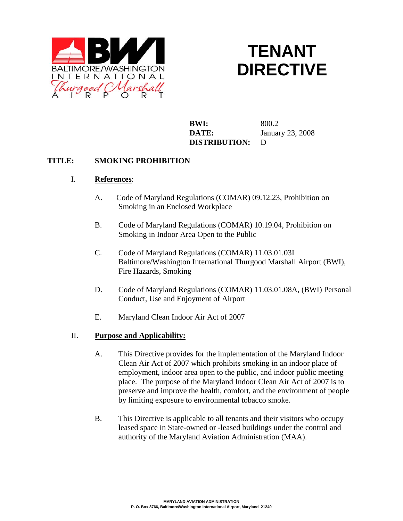

# **TENANT DIRECTIVE**

**BWI:** 800.2 **DATE:** January 23, 2008  **DISTRIBUTION:** D

### **TITLE: SMOKING PROHIBITION**

#### I. **References**:

- A. Code of Maryland Regulations (COMAR) 09.12.23, Prohibition on Smoking in an Enclosed Workplace
- B. Code of Maryland Regulations (COMAR) 10.19.04, Prohibition on Smoking in Indoor Area Open to the Public
- C. Code of Maryland Regulations (COMAR) 11.03.01.03I Baltimore/Washington International Thurgood Marshall Airport (BWI), Fire Hazards, Smoking
- D. Code of Maryland Regulations (COMAR) 11.03.01.08A, (BWI) Personal Conduct, Use and Enjoyment of Airport
- E. Maryland Clean Indoor Air Act of 2007

#### II. **Purpose and Applicability:**

- A. This Directive provides for the implementation of the Maryland Indoor Clean Air Act of 2007 which prohibits smoking in an indoor place of employment, indoor area open to the public, and indoor public meeting place. The purpose of the Maryland Indoor Clean Air Act of 2007 is to preserve and improve the health, comfort, and the environment of people by limiting exposure to environmental tobacco smoke.
- B. This Directive is applicable to all tenants and their visitors who occupy leased space in State-owned or -leased buildings under the control and authority of the Maryland Aviation Administration (MAA).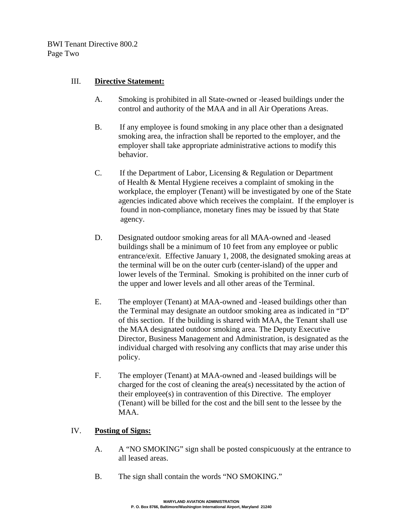BWI Tenant Directive 800.2 Page Two

## III. **Directive Statement:**

- A. Smoking is prohibited in all State-owned or -leased buildings under the control and authority of the MAA and in all Air Operations Areas.
- B. If any employee is found smoking in any place other than a designated smoking area, the infraction shall be reported to the employer, and the employer shall take appropriate administrative actions to modify this behavior.
- C. If the Department of Labor, Licensing & Regulation or Department of Health & Mental Hygiene receives a complaint of smoking in the workplace, the employer (Tenant) will be investigated by one of the State agencies indicated above which receives the complaint. If the employer is found in non-compliance, monetary fines may be issued by that State agency.
- D. Designated outdoor smoking areas for all MAA-owned and -leased buildings shall be a minimum of 10 feet from any employee or public entrance/exit. Effective January 1, 2008, the designated smoking areas at the terminal will be on the outer curb (center-island) of the upper and lower levels of the Terminal. Smoking is prohibited on the inner curb of the upper and lower levels and all other areas of the Terminal.
- E. The employer (Tenant) at MAA-owned and -leased buildings other than the Terminal may designate an outdoor smoking area as indicated in "D" of this section. If the building is shared with MAA, the Tenant shall use the MAA designated outdoor smoking area. The Deputy Executive Director, Business Management and Administration, is designated as the individual charged with resolving any conflicts that may arise under this policy.
- F. The employer (Tenant) at MAA-owned and -leased buildings will be charged for the cost of cleaning the area(s) necessitated by the action of their employee(s) in contravention of this Directive. The employer (Tenant) will be billed for the cost and the bill sent to the lessee by the MAA.

## IV. **Posting of Signs:**

- A. A "NO SMOKING" sign shall be posted conspicuously at the entrance to all leased areas.
- B. The sign shall contain the words "NO SMOKING."